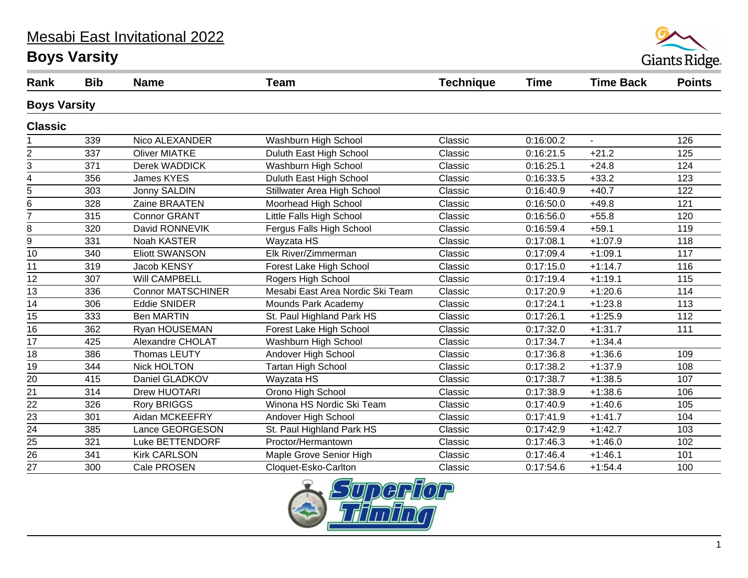#### Mesabi East Invitational 2022

# **Boys Varsity**



| Rank                | <b>Bib</b> | <b>Name</b>              | <b>Team</b>                      | <b>Technique</b> | <b>Time</b> | <b>Time Back</b>            | <b>Points</b> |  |
|---------------------|------------|--------------------------|----------------------------------|------------------|-------------|-----------------------------|---------------|--|
| <b>Boys Varsity</b> |            |                          |                                  |                  |             |                             |               |  |
| <b>Classic</b>      |            |                          |                                  |                  |             |                             |               |  |
|                     | 339        | Nico ALEXANDER           | Washburn High School             | Classic          | 0:16:00.2   | $\mathcal{L}^{\mathcal{A}}$ | 126           |  |
| $\overline{2}$      | 337        | <b>Oliver MIATKE</b>     | Duluth East High School          | Classic          | 0:16:21.5   | $+21.2$                     | 125           |  |
| 3                   | 371        | Derek WADDICK            | Washburn High School             | Classic          | 0:16:25.1   | $+24.8$                     | 124           |  |
| $\overline{4}$      | 356        | James KYES               | Duluth East High School          | Classic          | 0:16:33.5   | $+33.2$                     | 123           |  |
| 5                   | 303        | Jonny SALDIN             | Stillwater Area High School      | Classic          | 0:16:40.9   | $+40.7$                     | 122           |  |
| 6                   | 328        | Zaine BRAATEN            | Moorhead High School             | Classic          | 0:16:50.0   | $+49.8$                     | 121           |  |
| $\overline{7}$      | 315        | <b>Connor GRANT</b>      | Little Falls High School         | Classic          | 0:16:56.0   | $+55.8$                     | 120           |  |
| 8                   | 320        | David RONNEVIK           | Fergus Falls High School         | Classic          | 0:16:59.4   | $+59.1$                     | 119           |  |
| 9                   | 331        | Noah KASTER              | Wayzata HS                       | Classic          | 0:17:08.1   | $+1:07.9$                   | 118           |  |
| 10                  | 340        | <b>Eliott SWANSON</b>    | Elk River/Zimmerman              | Classic          | 0:17:09.4   | $+1:09.1$                   | 117           |  |
| 11                  | 319        | Jacob KENSY              | Forest Lake High School          | Classic          | 0:17:15.0   | $+1:14.7$                   | 116           |  |
| 12                  | 307        | <b>Will CAMPBELL</b>     | Rogers High School               | Classic          | 0:17:19.4   | $+1:19.1$                   | 115           |  |
| 13                  | 336        | <b>Connor MATSCHINER</b> | Mesabi East Area Nordic Ski Team | Classic          | 0:17:20.9   | $+1:20.6$                   | 114           |  |
| 14                  | 306        | <b>Eddie SNIDER</b>      | Mounds Park Academy              | Classic          | 0:17:24.1   | $+1:23.8$                   | 113           |  |
| 15                  | 333        | <b>Ben MARTIN</b>        | St. Paul Highland Park HS        | Classic          | 0:17:26.1   | $+1:25.9$                   | 112           |  |
| 16                  | 362        | Ryan HOUSEMAN            | Forest Lake High School          | Classic          | 0:17:32.0   | $+1:31.7$                   | 111           |  |
| 17                  | 425        | Alexandre CHOLAT         | Washburn High School             | Classic          | 0:17:34.7   | $+1:34.4$                   |               |  |
| 18                  | 386        | Thomas LEUTY             | Andover High School              | Classic          | 0:17:36.8   | $+1:36.6$                   | 109           |  |
| 19                  | 344        | <b>Nick HOLTON</b>       | <b>Tartan High School</b>        | Classic          | 0:17:38.2   | $+1:37.9$                   | 108           |  |
| 20                  | 415        | Daniel GLADKOV           | Wayzata HS                       | Classic          | 0:17:38.7   | $+1:38.5$                   | 107           |  |
| 21                  | 314        | <b>Drew HUOTARI</b>      | Orono High School                | Classic          | 0:17:38.9   | $+1:38.6$                   | 106           |  |
| 22                  | 326        | <b>Rory BRIGGS</b>       | Winona HS Nordic Ski Team        | Classic          | 0:17:40.9   | $+1:40.6$                   | 105           |  |
| $\overline{23}$     | 301        | Aidan MCKEEFRY           | Andover High School              | Classic          | 0:17:41.9   | $+1:41.7$                   | 104           |  |
| $\overline{24}$     | 385        | Lance GEORGESON          | St. Paul Highland Park HS        | Classic          | 0:17:42.9   | $+1:42.7$                   | 103           |  |
| 25                  | 321        | Luke BETTENDORF          | Proctor/Hermantown               | Classic          | 0:17:46.3   | $+1:46.0$                   | 102           |  |
| $\overline{26}$     | 341        | <b>Kirk CARLSON</b>      | Maple Grove Senior High          | Classic          | 0:17:46.4   | $+1:46.1$                   | 101           |  |
| 27                  | 300        | Cale PROSEN              | Cloquet-Esko-Carlton             | Classic          | 0:17:54.6   | $+1:54.4$                   | 100           |  |

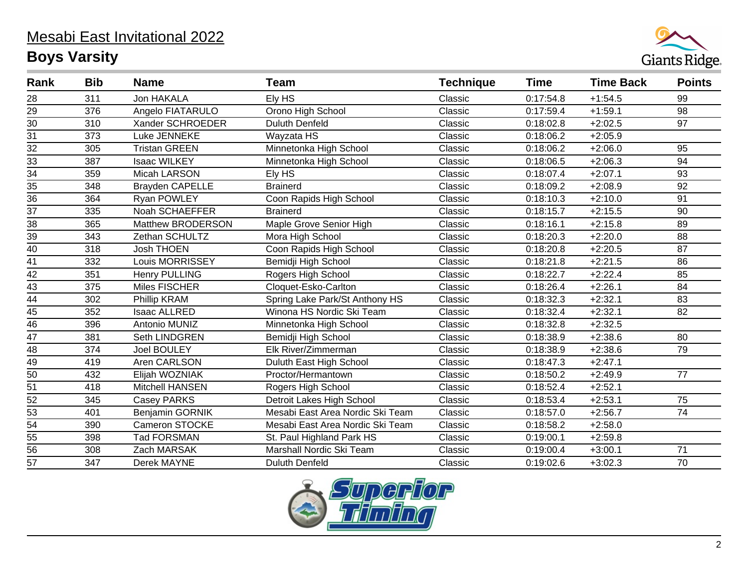# Mesabi East Invitational 2022

# **Boys Varsity**



| Rank            | <b>Bib</b> | <b>Name</b>            | <b>Team</b>                      | <b>Technique</b> | <b>Time</b> | <b>Time Back</b> | <b>Points</b> |
|-----------------|------------|------------------------|----------------------------------|------------------|-------------|------------------|---------------|
| 28              | 311        | Jon HAKALA             | Ely HS                           | Classic          | 0:17:54.8   | $+1:54.5$        | 99            |
| 29              | 376        | Angelo FIATARULO       | Orono High School                | Classic          | 0:17:59.4   | $+1:59.1$        | 98            |
| $\overline{30}$ | 310        | Xander SCHROEDER       | <b>Duluth Denfeld</b>            | Classic          | 0:18:02.8   | $+2:02.5$        | 97            |
| $\overline{31}$ | 373        | Luke JENNEKE           | Wayzata HS                       | Classic          | 0:18:06.2   | $+2:05.9$        |               |
| $\overline{32}$ | 305        | <b>Tristan GREEN</b>   | Minnetonka High School           | Classic          | 0:18:06.2   | $+2:06.0$        | 95            |
| $\overline{33}$ | 387        | <b>Isaac WILKEY</b>    | Minnetonka High School           | Classic          | 0:18:06.5   | $+2:06.3$        | 94            |
| 34              | 359        | Micah LARSON           | Ely HS                           | Classic          | 0:18:07.4   | $+2:07.1$        | 93            |
| 35              | 348        | <b>Brayden CAPELLE</b> | <b>Brainerd</b>                  | Classic          | 0:18:09.2   | $+2:08.9$        | 92            |
| $\overline{36}$ | 364        | Ryan POWLEY            | Coon Rapids High School          | Classic          | 0:18:10.3   | $+2:10.0$        | 91            |
| $\overline{37}$ | 335        | Noah SCHAEFFER         | <b>Brainerd</b>                  | Classic          | 0:18:15.7   | $+2:15.5$        | 90            |
| 38              | 365        | Matthew BRODERSON      | Maple Grove Senior High          | Classic          | 0:18:16.1   | $+2:15.8$        | 89            |
| 39              | 343        | Zethan SCHULTZ         | Mora High School                 | Classic          | 0:18:20.3   | $+2:20.0$        | 88            |
| 40              | 318        | <b>Josh THOEN</b>      | Coon Rapids High School          | Classic          | 0:18:20.8   | $+2:20.5$        | 87            |
| 41              | 332        | Louis MORRISSEY        | Bemidji High School              | Classic          | 0:18:21.8   | $+2:21.5$        | 86            |
| $\overline{42}$ | 351        | <b>Henry PULLING</b>   | Rogers High School               | Classic          | 0:18:22.7   | $+2:22.4$        | 85            |
| 43              | 375        | Miles FISCHER          | Cloquet-Esko-Carlton             | Classic          | 0:18:26.4   | $+2:26.1$        | 84            |
| $\overline{44}$ | 302        | Phillip KRAM           | Spring Lake Park/St Anthony HS   | Classic          | 0:18:32.3   | $+2:32.1$        | 83            |
| $\overline{45}$ | 352        | <b>Isaac ALLRED</b>    | Winona HS Nordic Ski Team        | Classic          | 0:18:32.4   | $+2:32.1$        | 82            |
| $\overline{46}$ | 396        | Antonio MUNIZ          | Minnetonka High School           | Classic          | 0:18:32.8   | $+2:32.5$        |               |
| $\overline{47}$ | 381        | Seth LINDGREN          | Bemidji High School              | Classic          | 0:18:38.9   | $+2:38.6$        | 80            |
| $\frac{48}{ }$  | 374        | <b>Joel BOULEY</b>     | Elk River/Zimmerman              | Classic          | 0:18:38.9   | $+2:38.6$        | 79            |
| $\overline{49}$ | 419        | Aren CARLSON           | Duluth East High School          | Classic          | 0:18:47.3   | $+2:47.1$        |               |
| 50              | 432        | Elijah WOZNIAK         | Proctor/Hermantown               | Classic          | 0:18:50.2   | $+2:49.9$        | 77            |
| 51              | 418        | <b>Mitchell HANSEN</b> | Rogers High School               | Classic          | 0:18:52.4   | $+2:52.1$        |               |
| $\overline{52}$ | 345        | <b>Casey PARKS</b>     | Detroit Lakes High School        | Classic          | 0:18:53.4   | $+2:53.1$        | 75            |
| $\overline{53}$ | 401        | Benjamin GORNIK        | Mesabi East Area Nordic Ski Team | Classic          | 0:18:57.0   | $+2:56.7$        | 74            |
| 54              | 390        | Cameron STOCKE         | Mesabi East Area Nordic Ski Team | Classic          | 0:18:58.2   | $+2:58.0$        |               |
| $\overline{55}$ | 398        | <b>Tad FORSMAN</b>     | St. Paul Highland Park HS        | Classic          | 0:19:00.1   | $+2:59.8$        |               |
| $\overline{56}$ | 308        | Zach MARSAK            | Marshall Nordic Ski Team         | Classic          | 0:19:00.4   | $+3:00.1$        | 71            |
| $\overline{57}$ | 347        | Derek MAYNE            | <b>Duluth Denfeld</b>            | Classic          | 0:19:02.6   | $+3:02.3$        | 70            |

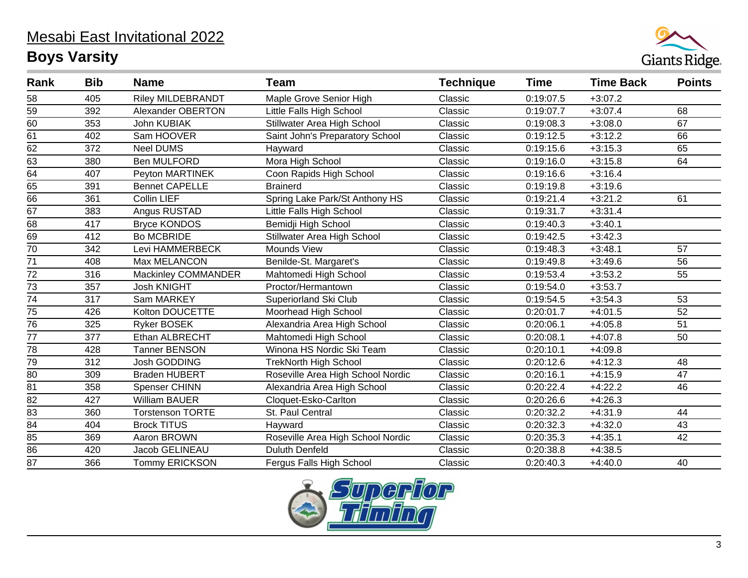# Mesabi East Invitational 2022 **Boys Varsity**



| Rank            | <b>Bib</b> | <b>Name</b>              | <b>Team</b>                       | <b>Technique</b> | <b>Time</b> | <b>Time Back</b> | <b>Points</b>   |
|-----------------|------------|--------------------------|-----------------------------------|------------------|-------------|------------------|-----------------|
| 58              | 405        | <b>Riley MILDEBRANDT</b> | Maple Grove Senior High           | Classic          | 0:19:07.5   | $+3:07.2$        |                 |
| 59              | 392        | Alexander OBERTON        | Little Falls High School          | Classic          | 0:19:07.7   | $+3:07.4$        | 68              |
| $\overline{60}$ | 353        | John KUBIAK              | Stillwater Area High School       | Classic          | 0:19:08.3   | $+3:08.0$        | 67              |
| 61              | 402        | Sam HOOVER               | Saint John's Preparatory School   | Classic          | 0:19:12.5   | $+3:12.2$        | 66              |
| $\overline{62}$ | 372        | <b>Neel DUMS</b>         | Hayward                           | Classic          | 0:19:15.6   | $+3:15.3$        | 65              |
| 63              | 380        | Ben MULFORD              | Mora High School                  | Classic          | 0:19:16.0   | $+3:15.8$        | 64              |
| $\overline{64}$ | 407        | Peyton MARTINEK          | Coon Rapids High School           | Classic          | 0:19:16.6   | $+3:16.4$        |                 |
| 65              | 391        | <b>Bennet CAPELLE</b>    | <b>Brainerd</b>                   | Classic          | 0:19:19.8   | $+3:19.6$        |                 |
| 66              | 361        | Collin LIEF              | Spring Lake Park/St Anthony HS    | Classic          | 0:19:21.4   | $+3:21.2$        | 61              |
| 67              | 383        | Angus RUSTAD             | Little Falls High School          | Classic          | 0:19:31.7   | $+3:31.4$        |                 |
| $\overline{68}$ | 417        | <b>Bryce KONDOS</b>      | Bemidji High School               | Classic          | 0:19:40.3   | $+3:40.1$        |                 |
| 69              | 412        | <b>Bo MCBRIDE</b>        | Stillwater Area High School       | Classic          | 0:19:42.5   | $+3:42.3$        |                 |
| $\overline{70}$ | 342        | Levi HAMMERBECK          | Mounds View                       | Classic          | 0:19:48.3   | $+3:48.1$        | 57              |
| 71              | 408        | Max MELANCON             | Benilde-St. Margaret's            | Classic          | 0:19:49.8   | $+3:49.6$        | 56              |
| $\overline{72}$ | 316        | Mackinley COMMANDER      | Mahtomedi High School             | Classic          | 0:19:53.4   | $+3:53.2$        | 55              |
| 73              | 357        | <b>Josh KNIGHT</b>       | Proctor/Hermantown                | Classic          | 0:19:54.0   | $+3:53.7$        |                 |
| $\overline{74}$ | 317        | Sam MARKEY               | Superiorland Ski Club             | Classic          | 0:19:54.5   | $+3:54.3$        | 53              |
| 75              | 426        | Kolton DOUCETTE          | Moorhead High School              | Classic          | 0:20:01.7   | $+4:01.5$        | 52              |
| $\overline{76}$ | 325        | <b>Ryker BOSEK</b>       | Alexandria Area High School       | Classic          | 0:20:06.1   | $+4:05.8$        | 51              |
| 77              | 377        | Ethan ALBRECHT           | Mahtomedi High School             | Classic          | 0:20:08.1   | $+4:07.8$        | 50              |
| $\overline{78}$ | 428        | <b>Tanner BENSON</b>     | Winona HS Nordic Ski Team         | Classic          | 0:20:10.1   | $+4:09.8$        |                 |
| 79              | 312        | Josh GODDING             | <b>TrekNorth High School</b>      | Classic          | 0:20:12.6   | $+4:12.3$        | 48              |
| $\overline{80}$ | 309        | <b>Braden HUBERT</b>     | Roseville Area High School Nordic | Classic          | 0:20:16.1   | $+4:15.9$        | $\overline{47}$ |
| 81              | 358        | Spenser CHINN            | Alexandria Area High School       | Classic          | 0:20:22.4   | $+4:22.2$        | 46              |
| $\overline{82}$ | 427        | <b>William BAUER</b>     | Cloquet-Esko-Carlton              | Classic          | 0:20:26.6   | $+4:26.3$        |                 |
| 83              | 360        | <b>Torstenson TORTE</b>  | St. Paul Central                  | Classic          | 0:20:32.2   | $+4:31.9$        | 44              |
| $\overline{84}$ | 404        | <b>Brock TITUS</b>       | Hayward                           | Classic          | 0:20:32.3   | $+4:32.0$        | 43              |
| 85              | 369        | Aaron BROWN              | Roseville Area High School Nordic | Classic          | 0:20:35.3   | $+4:35.1$        | 42              |
| $\overline{86}$ | 420        | Jacob GELINEAU           | <b>Duluth Denfeld</b>             | Classic          | 0:20:38.8   | $+4:38.5$        |                 |
| 87              | 366        | <b>Tommy ERICKSON</b>    | Fergus Falls High School          | Classic          | 0:20:40.3   | $+4:40.0$        | 40              |

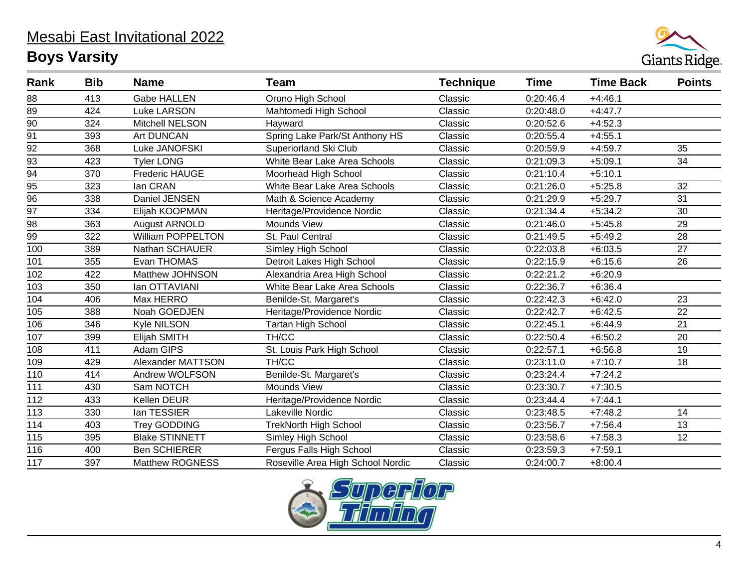# Mesabi East Invitational 2022

# **Boys Varsity**



| Rank             | <b>Bib</b> | <b>Name</b>              | <b>Team</b>                       | <b>Technique</b> | Time      | <b>Time Back</b> | <b>Points</b> |
|------------------|------------|--------------------------|-----------------------------------|------------------|-----------|------------------|---------------|
| 88               | 413        | <b>Gabe HALLEN</b>       | Orono High School                 | Classic          | 0:20:46.4 | $+4:46.1$        |               |
| 89               | 424        | <b>Luke LARSON</b>       | Mahtomedi High School             | Classic          | 0:20:48.0 | $+4:47.7$        |               |
| 90               | 324        | Mitchell NELSON          | Hayward                           | Classic          | 0:20:52.6 | $+4.52.3$        |               |
| 91               | 393        | Art DUNCAN               | Spring Lake Park/St Anthony HS    | Classic          | 0:20:55.4 | $+4:55.1$        |               |
| 92               | 368        | Luke JANOFSKI            | Superiorland Ski Club             | Classic          | 0:20:59.9 | $+4:59.7$        | 35            |
| $\overline{93}$  | 423        | <b>Tyler LONG</b>        | White Bear Lake Area Schools      | Classic          | 0:21:09.3 | $+5:09.1$        | 34            |
| $\overline{94}$  | 370        | <b>Frederic HAUGE</b>    | Moorhead High School              | Classic          | 0:21:10.4 | $+5:10.1$        |               |
| 95               | 323        | lan CRAN                 | White Bear Lake Area Schools      | Classic          | 0:21:26.0 | $+5:25.8$        | 32            |
| $\overline{96}$  | 338        | Daniel JENSEN            | Math & Science Academy            | Classic          | 0:21:29.9 | $+5:29.7$        | 31            |
| $\overline{97}$  | 334        | Elijah KOOPMAN           | Heritage/Providence Nordic        | Classic          | 0:21:34.4 | $+5:34.2$        | 30            |
| 98               | 363        | August ARNOLD            | Mounds View                       | Classic          | 0:21:46.0 | $+5:45.8$        | 29            |
| 99               | 322        | <b>William POPPELTON</b> | St. Paul Central                  | Classic          | 0:21:49.5 | $+5:49.2$        | 28            |
| 100              | 389        | Nathan SCHAUER           | Simley High School                | Classic          | 0:22:03.8 | $+6:03.5$        | 27            |
| 101              | 355        | Evan THOMAS              | Detroit Lakes High School         | Classic          | 0:22:15.9 | $+6:15.6$        | 26            |
| 102              | 422        | Matthew JOHNSON          | Alexandria Area High School       | Classic          | 0:22:21.2 | $+6:20.9$        |               |
| 103              | 350        | lan OTTAVIANI            | White Bear Lake Area Schools      | Classic          | 0:22:36.7 | $+6:36.4$        |               |
| 104              | 406        | Max HERRO                | Benilde-St. Margaret's            | Classic          | 0:22:42.3 | $+6:42.0$        | 23            |
| 105              | 388        | Noah GOEDJEN             | Heritage/Providence Nordic        | Classic          | 0:22:42.7 | $+6:42.5$        | 22            |
| 106              | 346        | Kyle NILSON              | <b>Tartan High School</b>         | Classic          | 0:22:45.1 | $+6:44.9$        | 21            |
| 107              | 399        | Elijah SMITH             | TH/CC                             | Classic          | 0:22:50.4 | $+6:50.2$        | 20            |
| 108              | 411        | Adam GIPS                | St. Louis Park High School        | Classic          | 0:22:57.1 | $+6:56.8$        | 19            |
| 109              | 429        | Alexander MATTSON        | TH/CC                             | Classic          | 0:23:11.0 | $+7:10.7$        | 18            |
| 110              | 414        | Andrew WOLFSON           | Benilde-St. Margaret's            | Classic          | 0:23:24.4 | $+7:24.2$        |               |
| 111              | 430        | Sam NOTCH                | <b>Mounds View</b>                | Classic          | 0:23:30.7 | $+7:30.5$        |               |
| 112              | 433        | Kellen DEUR              | Heritage/Providence Nordic        | Classic          | 0:23:44.4 | $+7:44.1$        |               |
| $113$            | 330        | lan TESSIER              | Lakeville Nordic                  | Classic          | 0:23:48.5 | $+7:48.2$        | 14            |
| 114              | 403        | <b>Trey GODDING</b>      | <b>TrekNorth High School</b>      | Classic          | 0:23:56.7 | $+7:56.4$        | 13            |
| 115              | 395        | <b>Blake STINNETT</b>    | Simley High School                | Classic          | 0:23:58.6 | $+7:58.3$        | 12            |
| 116              | 400        | <b>Ben SCHIERER</b>      | Fergus Falls High School          | Classic          | 0:23:59.3 | $+7:59.1$        |               |
| $\overline{117}$ | 397        | <b>Matthew ROGNESS</b>   | Roseville Area High School Nordic | Classic          | 0:24:00.7 | $+8:00.4$        |               |